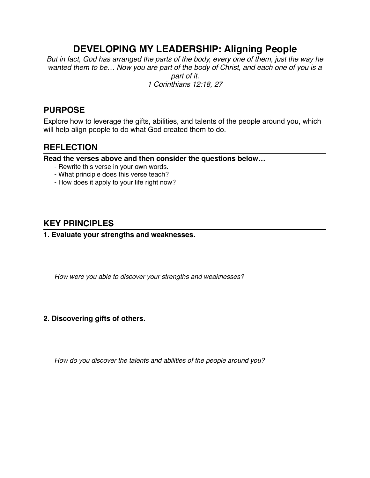# **DEVELOPING MY LEADERSHIP: Aligning People**

*But in fact, God has arranged the parts of the body, every one of them, just the way he wanted them to be… Now you are part of the body of Christ, and each one of you is a part of it. 1 Corinthians 12:18, 27*

## **PURPOSE**

Explore how to leverage the gifts, abilities, and talents of the people around you, which will help align people to do what God created them to do.

## **REFLECTION**

**Read the verses above and then consider the questions below…**

- Rewrite this verse in your own words.
- What principle does this verse teach?
- How does it apply to your life right now?

## **KEY PRINCIPLES**

#### **1. Evaluate your strengths and weaknesses.**

*How were you able to discover your strengths and weaknesses?*

### **2. Discovering gifts of others.**

*How do you discover the talents and abilities of the people around you?*